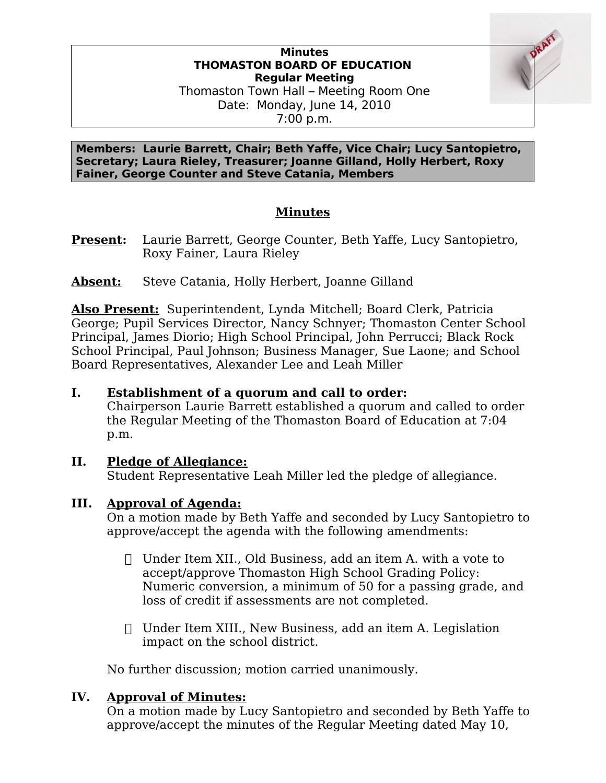#### **Minutes THOMASTON BOARD OF EDUCATION Regular Meeting** Thomaston Town Hall – Meeting Room One

Date: Monday, June 14, 2010 7:00 p.m.

**Members: Laurie Barrett, Chair; Beth Yaffe, Vice Chair; Lucy Santopietro, Secretary; Laura Rieley, Treasurer; Joanne Gilland, Holly Herbert, Roxy Fainer, George Counter and Steve Catania, Members**

# **Minutes**

- **Present:** Laurie Barrett, George Counter, Beth Yaffe, Lucy Santopietro, Roxy Fainer, Laura Rieley
- **Absent:** Steve Catania, Holly Herbert, Joanne Gilland

**Also Present:** Superintendent, Lynda Mitchell; Board Clerk, Patricia George; Pupil Services Director, Nancy Schnyer; Thomaston Center School Principal, James Diorio; High School Principal, John Perrucci; Black Rock School Principal, Paul Johnson; Business Manager, Sue Laone; and School Board Representatives, Alexander Lee and Leah Miller

## **I. Establishment of a quorum and call to order:**

Chairperson Laurie Barrett established a quorum and called to order the Regular Meeting of the Thomaston Board of Education at 7:04 p.m.

## **II. Pledge of Allegiance:**

Student Representative Leah Miller led the pledge of allegiance.

## **III. Approval of Agenda:**

On a motion made by Beth Yaffe and seconded by Lucy Santopietro to approve/accept the agenda with the following amendments:

- $\Box$  Under Item XII., Old Business, add an item A. with a vote to accept/approve Thomaston High School Grading Policy: Numeric conversion, a minimum of 50 for a passing grade, and loss of credit if assessments are not completed.
- Under Item XIII., New Business, add an item A. Legislation impact on the school district.

No further discussion; motion carried unanimously.

## **IV. Approval of Minutes:**

On a motion made by Lucy Santopietro and seconded by Beth Yaffe to approve/accept the minutes of the Regular Meeting dated May 10,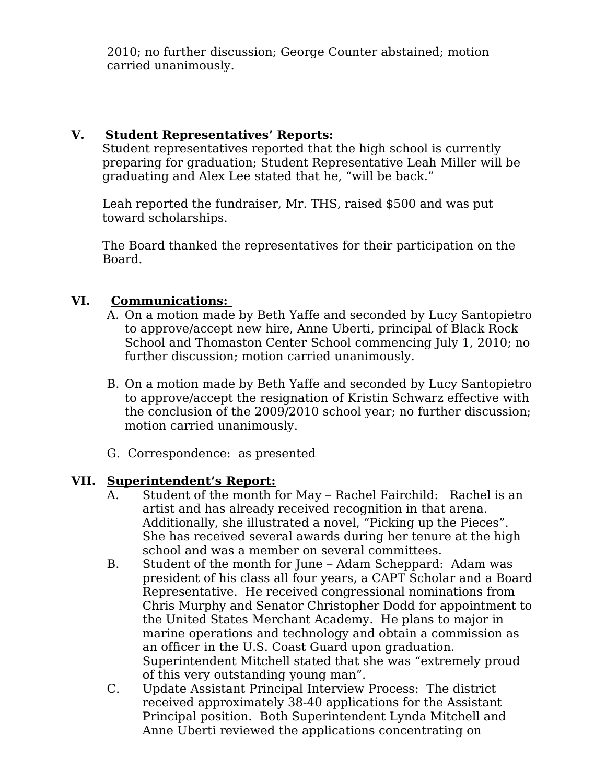2010; no further discussion; George Counter abstained; motion carried unanimously.

### **V. Student Representatives' Reports:**

Student representatives reported that the high school is currently preparing for graduation; Student Representative Leah Miller will be graduating and Alex Lee stated that he, "will be back."

Leah reported the fundraiser, Mr. THS, raised \$500 and was put toward scholarships.

The Board thanked the representatives for their participation on the Board.

### **VI. Communications:**

- A. On a motion made by Beth Yaffe and seconded by Lucy Santopietro to approve/accept new hire, Anne Uberti, principal of Black Rock School and Thomaston Center School commencing July 1, 2010; no further discussion; motion carried unanimously.
- B. On a motion made by Beth Yaffe and seconded by Lucy Santopietro to approve/accept the resignation of Kristin Schwarz effective with the conclusion of the 2009/2010 school year; no further discussion; motion carried unanimously.
- G. Correspondence: as presented

#### **VII. Superintendent's Report:**

- A. Student of the month for May Rachel Fairchild: Rachel is an artist and has already received recognition in that arena. Additionally, she illustrated a novel, "Picking up the Pieces". She has received several awards during her tenure at the high school and was a member on several committees.
- B. Student of the month for June Adam Scheppard: Adam was president of his class all four years, a CAPT Scholar and a Board Representative. He received congressional nominations from Chris Murphy and Senator Christopher Dodd for appointment to the United States Merchant Academy. He plans to major in marine operations and technology and obtain a commission as an officer in the U.S. Coast Guard upon graduation. Superintendent Mitchell stated that she was "extremely proud of this very outstanding young man".
- C. Update Assistant Principal Interview Process: The district received approximately 38-40 applications for the Assistant Principal position. Both Superintendent Lynda Mitchell and Anne Uberti reviewed the applications concentrating on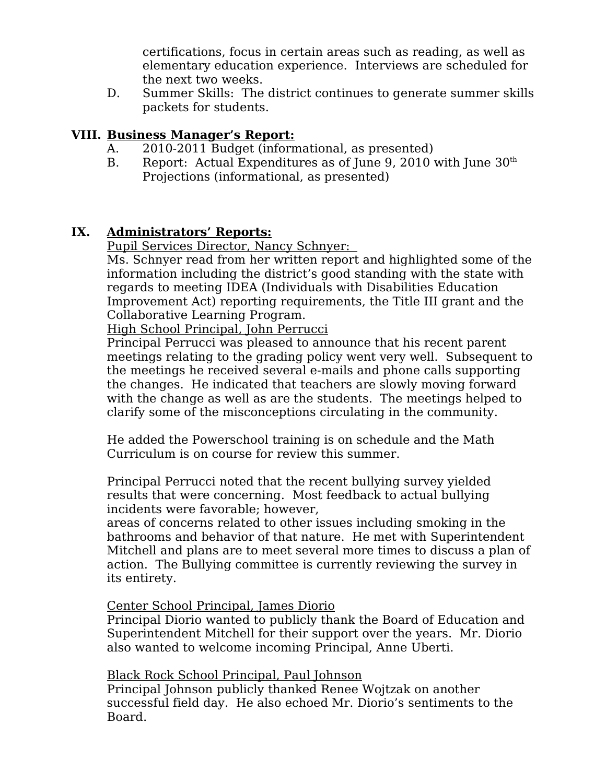certifications, focus in certain areas such as reading, as well as elementary education experience. Interviews are scheduled for the next two weeks.

D. Summer Skills: The district continues to generate summer skills packets for students.

### **VIII. Business Manager's Report:**

- A. 2010-2011 Budget (informational, as presented)
- B. Report: Actual Expenditures as of June 9, 2010 with June  $30<sup>th</sup>$ Projections (informational, as presented)

### **IX. Administrators' Reports:**

Pupil Services Director, Nancy Schnyer:

Ms. Schnyer read from her written report and highlighted some of the information including the district's good standing with the state with regards to meeting IDEA (Individuals with Disabilities Education Improvement Act) reporting requirements, the Title III grant and the Collaborative Learning Program.

High School Principal, John Perrucci

Principal Perrucci was pleased to announce that his recent parent meetings relating to the grading policy went very well. Subsequent to the meetings he received several e-mails and phone calls supporting the changes. He indicated that teachers are slowly moving forward with the change as well as are the students. The meetings helped to clarify some of the misconceptions circulating in the community.

He added the Powerschool training is on schedule and the Math Curriculum is on course for review this summer.

Principal Perrucci noted that the recent bullying survey yielded results that were concerning. Most feedback to actual bullying incidents were favorable; however,

areas of concerns related to other issues including smoking in the bathrooms and behavior of that nature. He met with Superintendent Mitchell and plans are to meet several more times to discuss a plan of action. The Bullying committee is currently reviewing the survey in its entirety.

#### Center School Principal, James Diorio

Principal Diorio wanted to publicly thank the Board of Education and Superintendent Mitchell for their support over the years. Mr. Diorio also wanted to welcome incoming Principal, Anne Uberti.

Black Rock School Principal, Paul Johnson

Principal Johnson publicly thanked Renee Wojtzak on another successful field day. He also echoed Mr. Diorio's sentiments to the Board.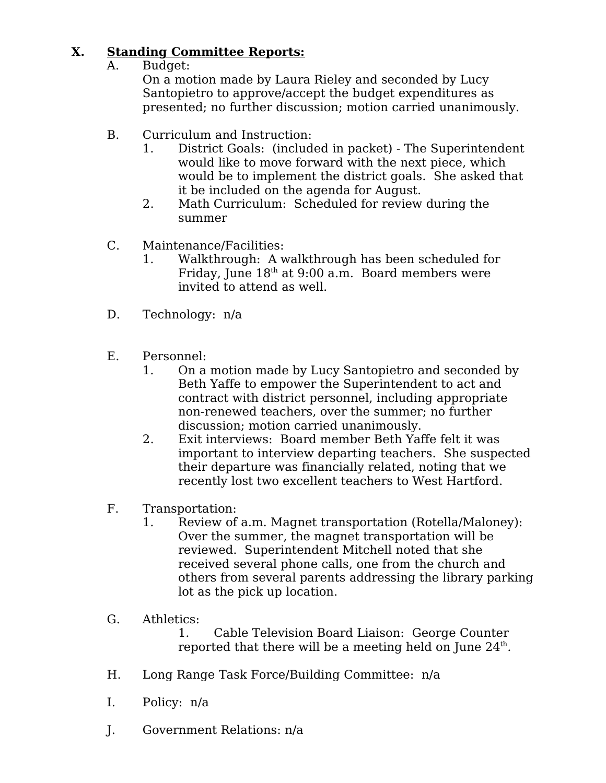# **X. Standing Committee Reports:**

A. Budget:

On a motion made by Laura Rieley and seconded by Lucy Santopietro to approve/accept the budget expenditures as presented; no further discussion; motion carried unanimously.

- B. Curriculum and Instruction:
	- 1. District Goals: (included in packet) The Superintendent would like to move forward with the next piece, which would be to implement the district goals. She asked that it be included on the agenda for August.
	- 2. Math Curriculum: Scheduled for review during the summer
- C. Maintenance/Facilities:
	- 1. Walkthrough: A walkthrough has been scheduled for Friday, June  $18<sup>th</sup>$  at 9:00 a.m. Board members were invited to attend as well.
- D. Technology: n/a
- E. Personnel:
	- 1. On a motion made by Lucy Santopietro and seconded by Beth Yaffe to empower the Superintendent to act and contract with district personnel, including appropriate non-renewed teachers, over the summer; no further discussion; motion carried unanimously.
	- 2. Exit interviews: Board member Beth Yaffe felt it was important to interview departing teachers. She suspected their departure was financially related, noting that we recently lost two excellent teachers to West Hartford.
- F. Transportation:
	- 1. Review of a.m. Magnet transportation (Rotella/Maloney): Over the summer, the magnet transportation will be reviewed. Superintendent Mitchell noted that she received several phone calls, one from the church and others from several parents addressing the library parking lot as the pick up location.
- G. Athletics:

1. Cable Television Board Liaison: George Counter reported that there will be a meeting held on June  $24^{\text{th}}$ .

- H. Long Range Task Force/Building Committee: n/a
- I. Policy: n/a
- J. Government Relations: n/a